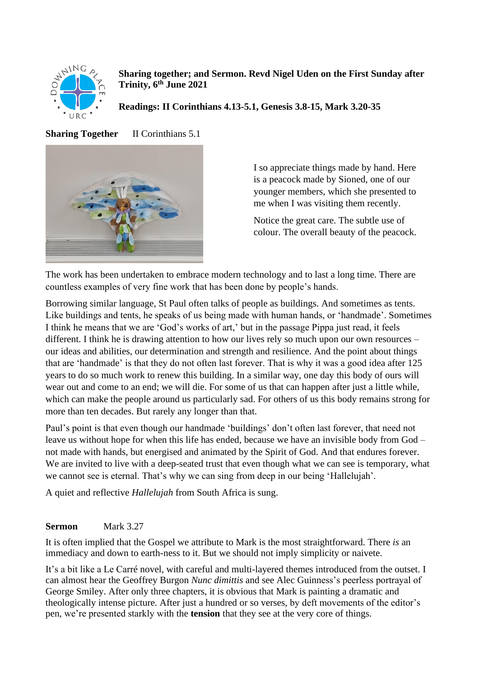

**Sharing together; and Sermon. Revd Nigel Uden on the First Sunday after Trinity, 6th June 2021**

**Readings: II Corinthians 4.13-5.1, Genesis 3.8-15, Mark 3.20-35**

**Sharing Together** II Corinthians 5.1



I so appreciate things made by hand. Here is a peacock made by Sioned, one of our younger members, which she presented to me when I was visiting them recently.

Notice the great care. The subtle use of colour. The overall beauty of the peacock.

The work has been undertaken to embrace modern technology and to last a long time. There are countless examples of very fine work that has been done by people's hands.

Borrowing similar language, St Paul often talks of people as buildings. And sometimes as tents. Like buildings and tents, he speaks of us being made with human hands, or 'handmade'. Sometimes I think he means that we are 'God's works of art,' but in the passage Pippa just read, it feels different. I think he is drawing attention to how our lives rely so much upon our own resources – our ideas and abilities, our determination and strength and resilience. And the point about things that are 'handmade' is that they do not often last forever. That is why it was a good idea after 125 years to do so much work to renew this building. In a similar way, one day this body of ours will wear out and come to an end; we will die. For some of us that can happen after just a little while, which can make the people around us particularly sad. For others of us this body remains strong for more than ten decades. But rarely any longer than that.

Paul's point is that even though our handmade 'buildings' don't often last forever, that need not leave us without hope for when this life has ended, because we have an invisible body from God – not made with hands, but energised and animated by the Spirit of God. And that endures forever. We are invited to live with a deep-seated trust that even though what we can see is temporary, what we cannot see is eternal. That's why we can sing from deep in our being 'Hallelujah'.

A quiet and reflective *Hallelujah* from South Africa is sung.

## **Sermon** Mark 3.27

It is often implied that the Gospel we attribute to Mark is the most straightforward. There *is* an immediacy and down to earth-ness to it. But we should not imply simplicity or naivete.

It's a bit like a Le Carré novel, with careful and multi-layered themes introduced from the outset. I can almost hear the Geoffrey Burgon *Nunc dimittis* and see Alec Guinness's peerless portrayal of George Smiley. After only three chapters, it is obvious that Mark is painting a dramatic and theologically intense picture. After just a hundred or so verses, by deft movements of the editor's pen, we're presented starkly with the **tension** that they see at the very core of things.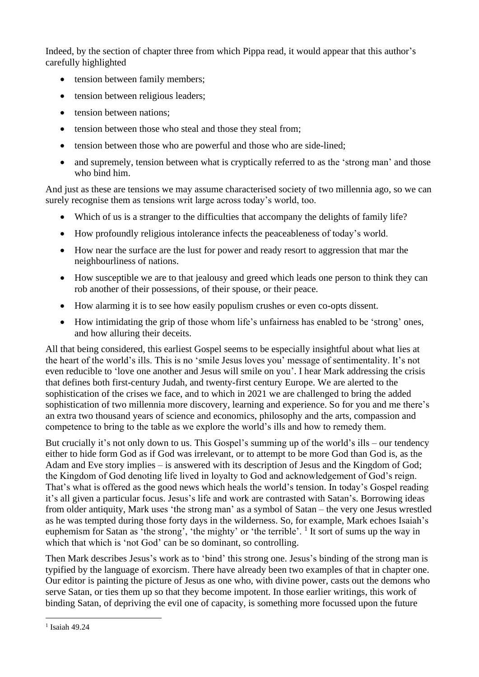Indeed, by the section of chapter three from which Pippa read, it would appear that this author's carefully highlighted

- tension between family members;
- tension between religious leaders;
- tension between nations:
- tension between those who steal and those they steal from;
- tension between those who are powerful and those who are side-lined;
- and supremely, tension between what is cryptically referred to as the 'strong man' and those who bind him.

And just as these are tensions we may assume characterised society of two millennia ago, so we can surely recognise them as tensions writ large across today's world, too.

- Which of us is a stranger to the difficulties that accompany the delights of family life?
- How profoundly religious intolerance infects the peaceableness of today's world.
- How near the surface are the lust for power and ready resort to aggression that mar the neighbourliness of nations.
- How susceptible we are to that jealousy and greed which leads one person to think they can rob another of their possessions, of their spouse, or their peace.
- How alarming it is to see how easily populism crushes or even co-opts dissent.
- How intimidating the grip of those whom life's unfairness has enabled to be 'strong' ones, and how alluring their deceits.

All that being considered, this earliest Gospel seems to be especially insightful about what lies at the heart of the world's ills. This is no 'smile Jesus loves you' message of sentimentality. It's not even reducible to 'love one another and Jesus will smile on you'. I hear Mark addressing the crisis that defines both first-century Judah, and twenty-first century Europe. We are alerted to the sophistication of the crises we face, and to which in 2021 we are challenged to bring the added sophistication of two millennia more discovery, learning and experience. So for you and me there's an extra two thousand years of science and economics, philosophy and the arts, compassion and competence to bring to the table as we explore the world's ills and how to remedy them.

But crucially it's not only down to us. This Gospel's summing up of the world's ills – our tendency either to hide form God as if God was irrelevant, or to attempt to be more God than God is, as the Adam and Eve story implies – is answered with its description of Jesus and the Kingdom of God; the Kingdom of God denoting life lived in loyalty to God and acknowledgement of God's reign. That's what is offered as the good news which heals the world's tension. In today's Gospel reading it's all given a particular focus. Jesus's life and work are contrasted with Satan's. Borrowing ideas from older antiquity, Mark uses 'the strong man' as a symbol of Satan – the very one Jesus wrestled as he was tempted during those forty days in the wilderness. So, for example, Mark echoes Isaiah's euphemism for Satan as 'the strong', 'the mighty' or 'the terrible'.  $\frac{1}{1}$  It sort of sums up the way in which that which is 'not God' can be so dominant, so controlling.

Then Mark describes Jesus's work as to 'bind' this strong one. Jesus's binding of the strong man is typified by the language of exorcism. There have already been two examples of that in chapter one. Our editor is painting the picture of Jesus as one who, with divine power, casts out the demons who serve Satan, or ties them up so that they become impotent. In those earlier writings, this work of binding Satan, of depriving the evil one of capacity, is something more focussed upon the future

<sup>&</sup>lt;sup>1</sup> Isaiah 49.24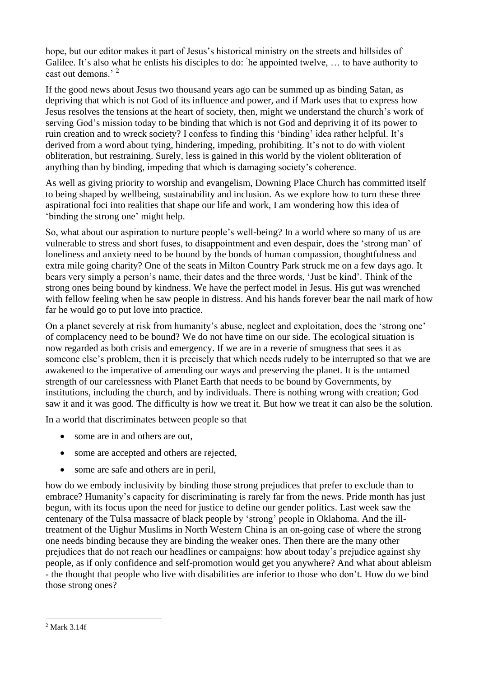hope, but our editor makes it part of Jesus's historical ministry on the streets and hillsides of Galilee. It's also what he enlists his disciples to do: ' he appointed twelve, … to have authority to cast out demons<sup>3</sup>

If the good news about Jesus two thousand years ago can be summed up as binding Satan, as depriving that which is not God of its influence and power, and if Mark uses that to express how Jesus resolves the tensions at the heart of society, then, might we understand the church's work of serving God's mission today to be binding that which is not God and depriving it of its power to ruin creation and to wreck society? I confess to finding this 'binding' idea rather helpful. It's derived from a word about tying, hindering, impeding, prohibiting. It's not to do with violent obliteration, but restraining. Surely, less is gained in this world by the violent obliteration of anything than by binding, impeding that which is damaging society's coherence.

As well as giving priority to worship and evangelism, Downing Place Church has committed itself to being shaped by wellbeing, sustainability and inclusion. As we explore how to turn these three aspirational foci into realities that shape our life and work, I am wondering how this idea of 'binding the strong one' might help.

So, what about our aspiration to nurture people's well-being? In a world where so many of us are vulnerable to stress and short fuses, to disappointment and even despair, does the 'strong man' of loneliness and anxiety need to be bound by the bonds of human compassion, thoughtfulness and extra mile going charity? One of the seats in Milton Country Park struck me on a few days ago. It bears very simply a person's name, their dates and the three words, 'Just be kind'. Think of the strong ones being bound by kindness. We have the perfect model in Jesus. His gut was wrenched with fellow feeling when he saw people in distress. And his hands forever bear the nail mark of how far he would go to put love into practice.

On a planet severely at risk from humanity's abuse, neglect and exploitation, does the 'strong one' of complacency need to be bound? We do not have time on our side. The ecological situation is now regarded as both crisis and emergency. If we are in a reverie of smugness that sees it as someone else's problem, then it is precisely that which needs rudely to be interrupted so that we are awakened to the imperative of amending our ways and preserving the planet. It is the untamed strength of our carelessness with Planet Earth that needs to be bound by Governments, by institutions, including the church, and by individuals. There is nothing wrong with creation; God saw it and it was good. The difficulty is how we treat it. But how we treat it can also be the solution.

In a world that discriminates between people so that

- some are in and others are out.
- some are accepted and others are rejected,
- some are safe and others are in peril,

how do we embody inclusivity by binding those strong prejudices that prefer to exclude than to embrace? Humanity's capacity for discriminating is rarely far from the news. Pride month has just begun, with its focus upon the need for justice to define our gender politics. Last week saw the centenary of the Tulsa massacre of black people by 'strong' people in Oklahoma. And the illtreatment of the Uighur Muslims in North Western China is an on-going case of where the strong one needs binding because they are binding the weaker ones. Then there are the many other prejudices that do not reach our headlines or campaigns: how about today's prejudice against shy people, as if only confidence and self-promotion would get you anywhere? And what about ableism - the thought that people who live with disabilities are inferior to those who don't. How do we bind those strong ones?

<sup>2</sup> Mark 3.14f